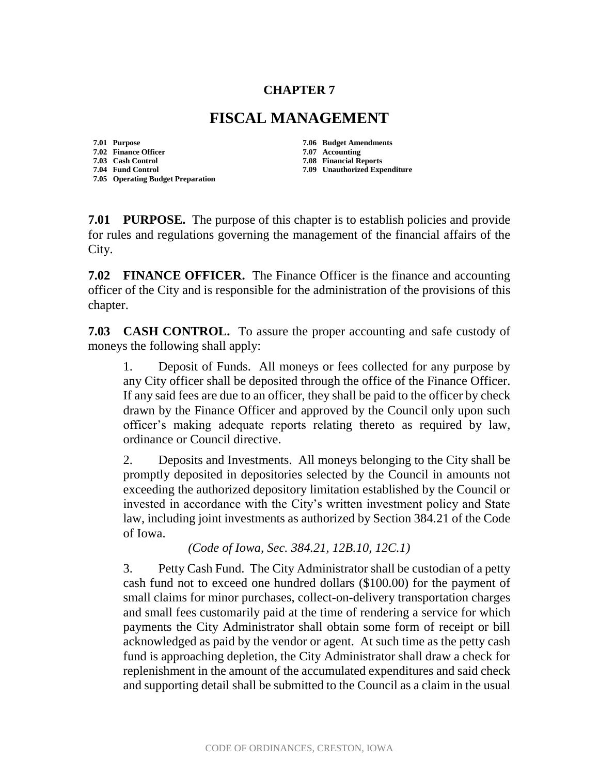## **CHAPTER 7**

## **FISCAL MANAGEMENT**

**7.02 Finance Officer 7.07 Accounting**

**7.05 Operating Budget Preparation**

**7.01 Purpose 7.06 Budget Amendments**

**7.08 Financial Reports** 

**7.04 Fund Control 7.09 Unauthorized Expenditure**

**7.01 PURPOSE.** The purpose of this chapter is to establish policies and provide for rules and regulations governing the management of the financial affairs of the City.

**7.02 FINANCE OFFICER.** The Finance Officer is the finance and accounting officer of the City and is responsible for the administration of the provisions of this chapter.

**7.03 CASH CONTROL.** To assure the proper accounting and safe custody of moneys the following shall apply:

Deposit of Funds. All moneys or fees collected for any purpose by any City officer shall be deposited through the office of the Finance Officer. If any said fees are due to an officer, they shall be paid to the officer by check drawn by the Finance Officer and approved by the Council only upon such officer's making adequate reports relating thereto as required by law, ordinance or Council directive.

2. Deposits and Investments. All moneys belonging to the City shall be promptly deposited in depositories selected by the Council in amounts not exceeding the authorized depository limitation established by the Council or invested in accordance with the City's written investment policy and State law, including joint investments as authorized by Section 384.21 of the Code of Iowa.

*(Code of Iowa, Sec. 384.21, 12B.10, 12C.1)*

3. Petty Cash Fund. The City Administrator shall be custodian of a petty cash fund not to exceed one hundred dollars (\$100.00) for the payment of small claims for minor purchases, collect-on-delivery transportation charges and small fees customarily paid at the time of rendering a service for which payments the City Administrator shall obtain some form of receipt or bill acknowledged as paid by the vendor or agent. At such time as the petty cash fund is approaching depletion, the City Administrator shall draw a check for replenishment in the amount of the accumulated expenditures and said check and supporting detail shall be submitted to the Council as a claim in the usual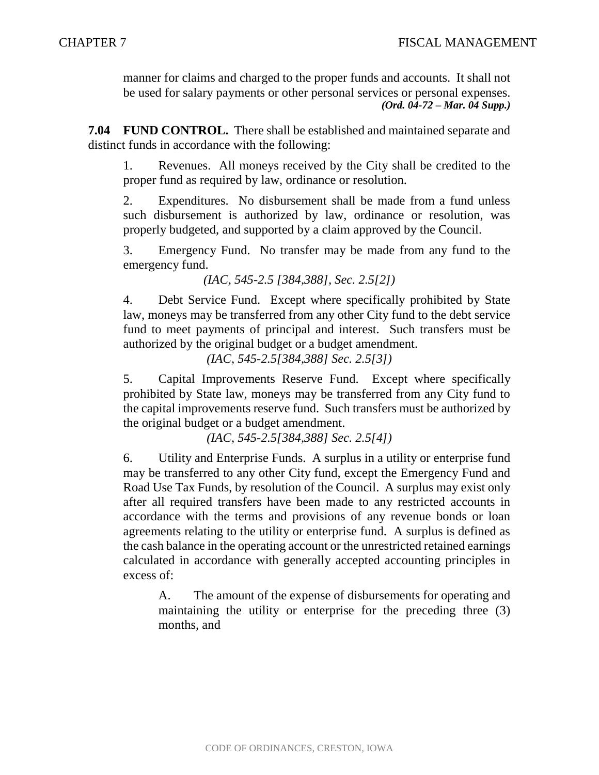manner for claims and charged to the proper funds and accounts. It shall not be used for salary payments or other personal services or personal expenses. *(Ord. 04-72 – Mar. 04 Supp.)*

**7.04 FUND CONTROL.** There shall be established and maintained separate and distinct funds in accordance with the following:

1. Revenues. All moneys received by the City shall be credited to the proper fund as required by law, ordinance or resolution.

2. Expenditures. No disbursement shall be made from a fund unless such disbursement is authorized by law, ordinance or resolution, was properly budgeted, and supported by a claim approved by the Council.

3. Emergency Fund. No transfer may be made from any fund to the emergency fund.

*(IAC, 545-2.5 [384,388], Sec. 2.5[2])*

4. Debt Service Fund. Except where specifically prohibited by State law, moneys may be transferred from any other City fund to the debt service fund to meet payments of principal and interest. Such transfers must be authorized by the original budget or a budget amendment.

*(IAC, 545-2.5[384,388] Sec. 2.5[3])*

5. Capital Improvements Reserve Fund. Except where specifically prohibited by State law, moneys may be transferred from any City fund to the capital improvements reserve fund. Such transfers must be authorized by the original budget or a budget amendment.

*(IAC, 545-2.5[384,388] Sec. 2.5[4])*

6. Utility and Enterprise Funds. A surplus in a utility or enterprise fund may be transferred to any other City fund, except the Emergency Fund and Road Use Tax Funds, by resolution of the Council. A surplus may exist only after all required transfers have been made to any restricted accounts in accordance with the terms and provisions of any revenue bonds or loan agreements relating to the utility or enterprise fund. A surplus is defined as the cash balance in the operating account or the unrestricted retained earnings calculated in accordance with generally accepted accounting principles in excess of:

A. The amount of the expense of disbursements for operating and maintaining the utility or enterprise for the preceding three (3) months, and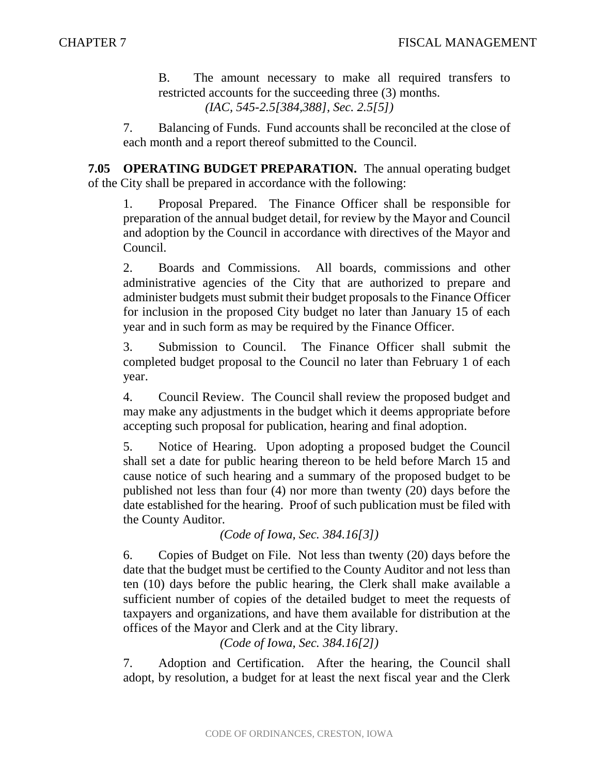B. The amount necessary to make all required transfers to restricted accounts for the succeeding three (3) months. *(IAC, 545-2.5[384,388], Sec. 2.5[5])*

7. Balancing of Funds. Fund accounts shall be reconciled at the close of each month and a report thereof submitted to the Council.

**7.05 OPERATING BUDGET PREPARATION.** The annual operating budget of the City shall be prepared in accordance with the following:

1. Proposal Prepared. The Finance Officer shall be responsible for preparation of the annual budget detail, for review by the Mayor and Council and adoption by the Council in accordance with directives of the Mayor and Council.

2. Boards and Commissions. All boards, commissions and other administrative agencies of the City that are authorized to prepare and administer budgets must submit their budget proposals to the Finance Officer for inclusion in the proposed City budget no later than January 15 of each year and in such form as may be required by the Finance Officer.

3. Submission to Council. The Finance Officer shall submit the completed budget proposal to the Council no later than February 1 of each year.

4. Council Review. The Council shall review the proposed budget and may make any adjustments in the budget which it deems appropriate before accepting such proposal for publication, hearing and final adoption.

5. Notice of Hearing. Upon adopting a proposed budget the Council shall set a date for public hearing thereon to be held before March 15 and cause notice of such hearing and a summary of the proposed budget to be published not less than four (4) nor more than twenty (20) days before the date established for the hearing. Proof of such publication must be filed with the County Auditor.

*(Code of Iowa, Sec. 384.16[3])*

6. Copies of Budget on File. Not less than twenty (20) days before the date that the budget must be certified to the County Auditor and not less than ten (10) days before the public hearing, the Clerk shall make available a sufficient number of copies of the detailed budget to meet the requests of taxpayers and organizations, and have them available for distribution at the offices of the Mayor and Clerk and at the City library.

*(Code of Iowa, Sec. 384.16[2])*

7. Adoption and Certification. After the hearing, the Council shall adopt, by resolution, a budget for at least the next fiscal year and the Clerk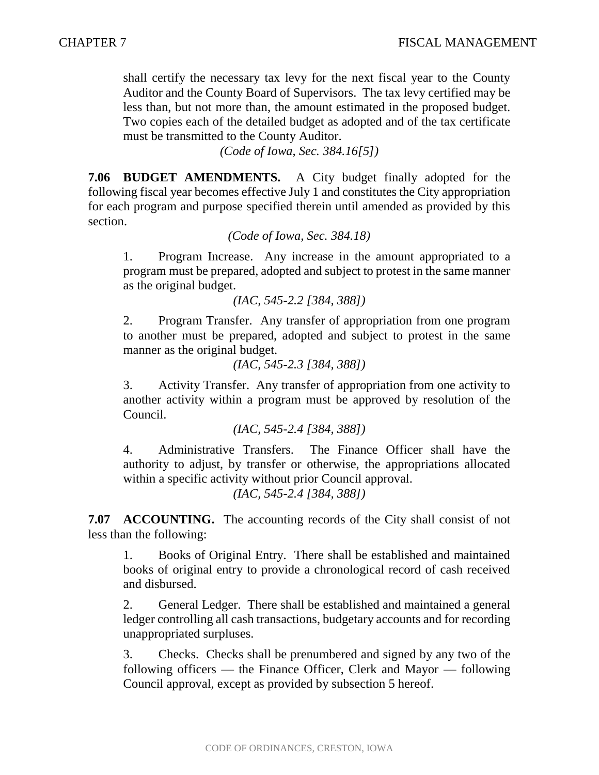shall certify the necessary tax levy for the next fiscal year to the County Auditor and the County Board of Supervisors. The tax levy certified may be less than, but not more than, the amount estimated in the proposed budget. Two copies each of the detailed budget as adopted and of the tax certificate must be transmitted to the County Auditor.

*(Code of Iowa, Sec. 384.16[5])*

**7.06 BUDGET AMENDMENTS.** A City budget finally adopted for the following fiscal year becomes effective July 1 and constitutes the City appropriation for each program and purpose specified therein until amended as provided by this section.

*(Code of Iowa, Sec. 384.18)*

1. Program Increase. Any increase in the amount appropriated to a program must be prepared, adopted and subject to protest in the same manner as the original budget.

*(IAC, 545-2.2 [384, 388])*

2. Program Transfer. Any transfer of appropriation from one program to another must be prepared, adopted and subject to protest in the same manner as the original budget.

*(IAC, 545-2.3 [384, 388])*

3. Activity Transfer. Any transfer of appropriation from one activity to another activity within a program must be approved by resolution of the Council.

```
(IAC, 545-2.4 [384, 388])
```
4. Administrative Transfers. The Finance Officer shall have the authority to adjust, by transfer or otherwise, the appropriations allocated within a specific activity without prior Council approval.

*(IAC, 545-2.4 [384, 388])*

**7.07 ACCOUNTING.** The accounting records of the City shall consist of not less than the following:

1. Books of Original Entry. There shall be established and maintained books of original entry to provide a chronological record of cash received and disbursed.

2. General Ledger. There shall be established and maintained a general ledger controlling all cash transactions, budgetary accounts and for recording unappropriated surpluses.

3. Checks. Checks shall be prenumbered and signed by any two of the following officers — the Finance Officer, Clerk and Mayor — following Council approval, except as provided by subsection 5 hereof.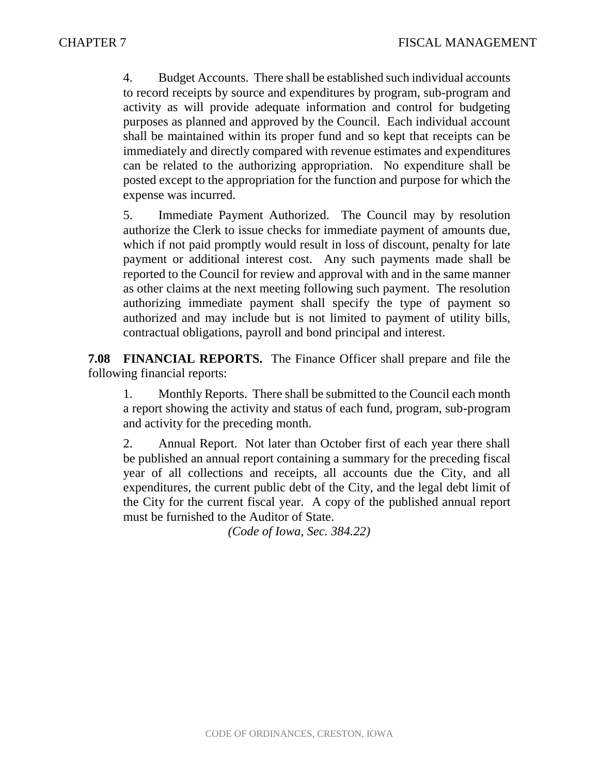4. Budget Accounts. There shall be established such individual accounts to record receipts by source and expenditures by program, sub-program and activity as will provide adequate information and control for budgeting purposes as planned and approved by the Council. Each individual account shall be maintained within its proper fund and so kept that receipts can be immediately and directly compared with revenue estimates and expenditures can be related to the authorizing appropriation. No expenditure shall be posted except to the appropriation for the function and purpose for which the expense was incurred.

5. Immediate Payment Authorized. The Council may by resolution authorize the Clerk to issue checks for immediate payment of amounts due, which if not paid promptly would result in loss of discount, penalty for late payment or additional interest cost. Any such payments made shall be reported to the Council for review and approval with and in the same manner as other claims at the next meeting following such payment. The resolution authorizing immediate payment shall specify the type of payment so authorized and may include but is not limited to payment of utility bills, contractual obligations, payroll and bond principal and interest.

**7.08 FINANCIAL REPORTS.** The Finance Officer shall prepare and file the following financial reports:

1. Monthly Reports. There shall be submitted to the Council each month a report showing the activity and status of each fund, program, sub-program and activity for the preceding month.

2. Annual Report. Not later than October first of each year there shall be published an annual report containing a summary for the preceding fiscal year of all collections and receipts, all accounts due the City, and all expenditures, the current public debt of the City, and the legal debt limit of the City for the current fiscal year. A copy of the published annual report must be furnished to the Auditor of State.

*(Code of Iowa, Sec. 384.22)*